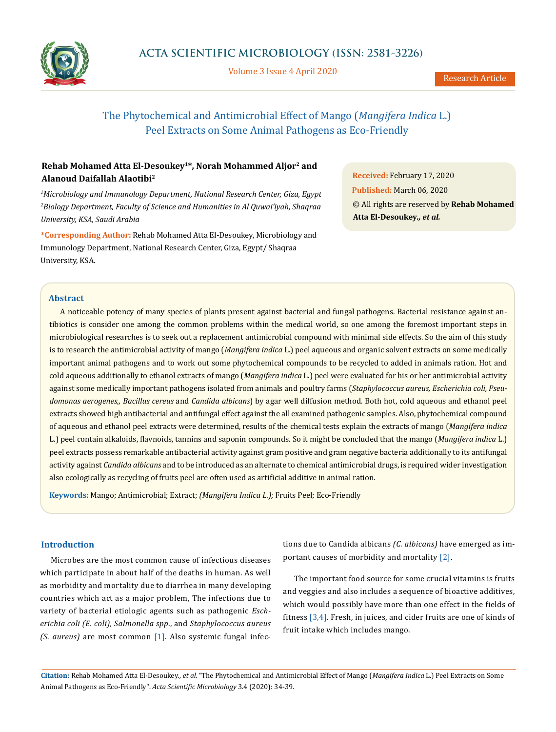

Volume 3 Issue 4 April 2020

# The Phytochemical and Antimicrobial Effect of Mango (*Mangifera Indica* L.) Peel Extracts on Some Animal Pathogens as Eco-Friendly

# **Rehab Mohamed Atta El-Desoukey1\*, Norah Mohammed Aljor2 and Alanoud Daifallah Alaotibi2**

*1 Microbiology and Immunology Department, National Research Center, Giza, Egypt 2 Biology Department, Faculty of Science and Humanities in Al Quwai'iyah, Shaqraa University, KSA, Saudi Arabia*

**\*Corresponding Author:** Rehab Mohamed Atta El-Desoukey, Microbiology and Immunology Department, National Research Center, Giza, Egypt/ Shaqraa University, KSA.

**Received:** February 17, 2020

**Published:** March 06, 2020 © All rights are reserved by **Rehab Mohamed Atta El-Desoukey***., et al.*

## **Abstract**

A noticeable potency of many species of plants present against bacterial and fungal pathogens. Bacterial resistance against antibiotics is consider one among the common problems within the medical world, so one among the foremost important steps in microbiological researches is to seek out a replacement antimicrobial compound with minimal side effects. So the aim of this study is to research the antimicrobial activity of mango (*Mangifera indica* L.) peel aqueous and organic solvent extracts on some medically important animal pathogens and to work out some phytochemical compounds to be recycled to added in animals ration. Hot and cold aqueous additionally to ethanol extracts of mango (*Mangifera indica* L.) peel were evaluated for his or her antimicrobial activity against some medically important pathogens isolated from animals and poultry farms (*Staphylococcus aureus, Escherichia coli, Pseudomonas aerogenes,, Bacillus cereus* and *Candida albicans*) by agar well diffusion method. Both hot, cold aqueous and ethanol peel extracts showed high antibacterial and antifungal effect against the all examined pathogenic samples. Also, phytochemical compound of aqueous and ethanol peel extracts were determined, results of the chemical tests explain the extracts of mango (*Mangifera indica* L.) peel contain alkaloids, flavnoids, tannins and saponin compounds. So it might be concluded that the mango (*Mangifera indica* L.) peel extracts possess remarkable antibacterial activity against gram positive and gram negative bacteria additionally to its antifungal activity against *Candida albicans* and to be introduced as an alternate to chemical antimicrobial drugs, is required wider investigation also ecologically as recycling of fruits peel are often used as artificial additive in animal ration.

**Keywords:** Mango; Antimicrobial; Extract; *(Mangifera Indica L.);* Fruits Peel; Eco-Friendly

# **Introduction**

Microbes are the most common cause of infectious diseases which participate in about half of the deaths in human. As well as morbidity and mortality due to diarrhea in many developing countries which act as a major problem, The infections due to variety of bacterial etiologic agents such as pathogenic *Escherichia coli (E. coli), Salmonella spp*., and *Staphylococcus aureus (S. aureus)* are most common [1]. Also systemic fungal infections due to Candida albicans *(C. albicans)* have emerged as important causes of [morbidity](http://en.wikipedia.org/wiki/Morbidity) and [mortality](http://en.wikipedia.org/wiki/Death) [2].

The important food source for some crucial vitamins is fruits and veggies and also includes a sequence of bioactive additives, which would possibly have more than one effect in the fields of fitness [3,4]. Fresh, in juices, and cider fruits are one of kinds of fruit intake which includes mango.

**Citation:** Rehab Mohamed Atta El-Desoukey*., et al.* "The Phytochemical and Antimicrobial Effect of Mango (*Mangifera Indica* L.) Peel Extracts on Some Animal Pathogens as Eco-Friendly". *Acta Scientific Microbiology* 3.4 (2020): 34-39.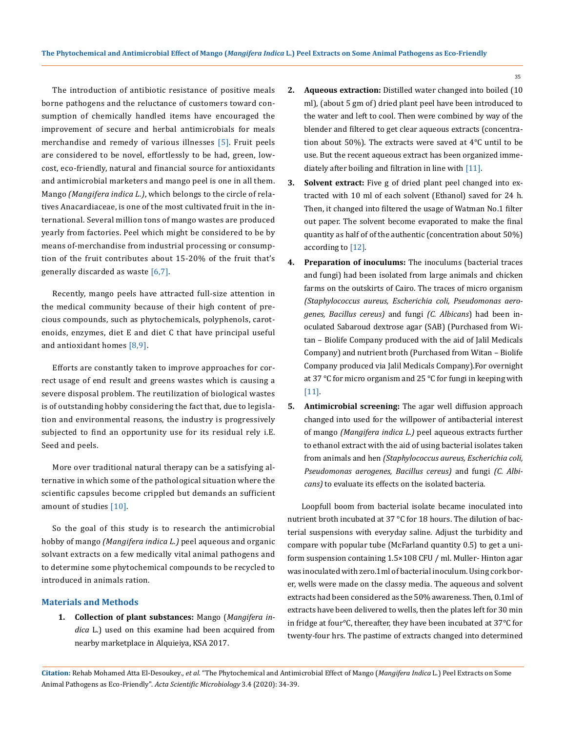The introduction of antibiotic resistance of positive meals borne pathogens and the reluctance of customers toward consumption of chemically handled items have encouraged the improvement of secure and herbal antimicrobials for meals merchandise and remedy of various illnesses [5]. Fruit peels are considered to be novel, effortlessly to be had, green, lowcost, eco-friendly, natural and financial source for antioxidants and antimicrobial marketers and mango peel is one in all them. Mango *(Mangifera indica L.)*, which belongs to the circle of relatives Anacardiaceae, is one of the most cultivated fruit in the international. Several million tons of mango wastes are produced yearly from factories. Peel which might be considered to be by means of-merchandise from industrial processing or consumption of the fruit contributes about 15-20% of the fruit that's generally discarded as waste [6,7].

Recently, mango peels have attracted full-size attention in the medical community because of their high content of precious compounds, such as phytochemicals, polyphenols, carotenoids, enzymes, diet E and diet C that have principal useful and antioxidant homes [8,9].

Efforts are constantly taken to improve approaches for correct usage of end result and greens wastes which is causing a severe disposal problem. The reutilization of biological wastes is of outstanding hobby considering the fact that, due to legislation and environmental reasons, the industry is progressively subjected to find an opportunity use for its residual rely i.E. Seed and peels.

More over traditional natural therapy can be a satisfying alternative in which some of the pathological situation where the scientific capsules become crippled but demands an sufficient amount of studies [10].

So the goal of this study is to research the antimicrobial hobby of mango *(Mangifera indica L.)* peel aqueous and organic solvant extracts on a few medically vital animal pathogens and to determine some phytochemical compounds to be recycled to introduced in animals ration.

### **Materials and Methods**

**1. Collection of plant substances:** Mango (*Mangifera indica* L.) used on this examine had been acquired from nearby marketplace in Alquieiya, KSA 2017.

- **2. Aqueous extraction:** Distilled water changed into boiled (10 ml), (about 5 gm of) dried plant peel have been introduced to the water and left to cool. Then were combined by way of the blender and filtered to get clear aqueous extracts (concentration about 50%). The extracts were saved at 4°C until to be use. But the recent aqueous extract has been organized immediately after boiling and filtration in line with [11].
- **3. Solvent extract:** Five g of dried plant peel changed into extracted with 10 ml of each solvent (Ethanol) saved for 24 h. Then, it changed into filtered the usage of Watman No.1 filter out paper. The solvent become evaporated to make the final quantity as half of of the authentic (concentration about 50%) according to [12].
- **4. Preparation of inoculums:** The inoculums (bacterial traces and fungi) had been isolated from large animals and chicken farms on the outskirts of Cairo. The traces of micro organism *(Staphylococcus aureus, Escherichia coli, Pseudomonas aerogenes, Bacillus cereus)* and fungi *(C. Albicans*) had been inoculated Sabaroud dextrose agar (SAB) (Purchased from Witan – Biolife Company produced with the aid of Jalil Medicals Company) and nutrient broth (Purchased from Witan – Biolife Company produced via Jalil Medicals Company).For overnight at 37 °C for micro organism and 25 °C for fungi in keeping with [11].
- **5. Antimicrobial screening:** The agar well diffusion approach changed into used for the willpower of antibacterial interest of mango *(Mangifera indica L.)* peel aqueous extracts further to ethanol extract with the aid of using bacterial isolates taken from animals and hen *(Staphylococcus aureus, Escherichia coli, Pseudomonas aerogenes, Bacillus cereus)* and fungi *(C. Albicans)* to evaluate its effects on the isolated bacteria.

 Loopfull boom from bacterial isolate became inoculated into nutrient broth incubated at 37 °C for 18 hours. The dilution of bacterial suspensions with everyday saline. Adjust the turbidity and compare with popular tube (McFarland quantity 0.5) to get a uniform suspension containing 1.5×108 CFU / ml. Muller- Hinton agar was inoculated with zero.1ml of bacterial inoculum. Using cork borer, wells were made on the classy media. The aqueous and solvent extracts had been considered as the 50% awareness. Then, 0.1ml of extracts have been delivered to wells, then the plates left for 30 min in fridge at four°C, thereafter, they have been incubated at 37°C for twenty-four hrs. The pastime of extracts changed into determined

**Citation:** Rehab Mohamed Atta El-Desoukey*., et al.* "The Phytochemical and Antimicrobial Effect of Mango (*Mangifera Indica* L.) Peel Extracts on Some Animal Pathogens as Eco-Friendly". *Acta Scientific Microbiology* 3.4 (2020): 34-39.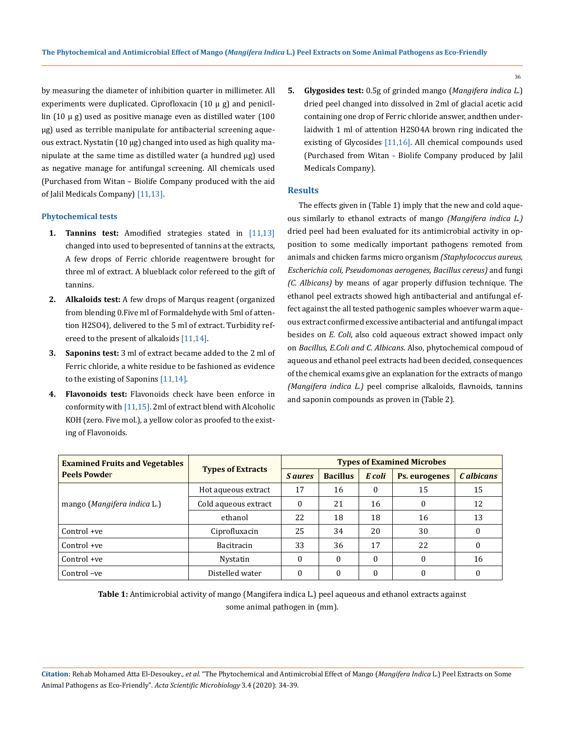by measuring the diameter of inhibition quarter in millimeter. All experiments were duplicated. Ciprofloxacin  $(10 \mu g)$  and penicillin  $(10 \mu g)$  used as positive manage even as distilled water  $(100 \mu g)$ µg) used as terrible manipulate for antibacterial screening aqueous extract. Nystatin (10 µg) changed into used as high quality manipulate at the same time as distilled water (a hundred  $\mu$ g) used as negative manage for antifungal screening. All chemicals used (Purchased from Witan – Biolife Company produced with the aid of Jalil Medicals Company) [11,13].

#### **Phytochemical tests**

- **1. Tannins test:** Amodified strategies stated in [11,13] changed into used to bepresented of tannins at the extracts, A few drops of Ferric chloride reagentwere brought for three ml of extract. A blueblack color refereed to the gift of tannins.
- **2. Alkaloids test:** A few drops of Marqus reagent (organized from blending 0.Five ml of Formaldehyde with 5ml of attention H2SO4), delivered to the 5 ml of extract. Turbidity refereed to the present of alkaloids [11,14].
- **3. Saponins test:** 3 ml of extract became added to the 2 ml of Ferric chloride, a white residue to be fashioned as evidence to the existing of Saponins [11,14].
- **4. Flavonoids test:** Flavonoids check have been enforce in conformity with [11,15]. 2ml of extract blend with Alcoholic KOH (zero. Five mol.), a yellow color as proofed to the existing of Flavonoids.

**5. Glygosides test:** 0.5g of grinded mango (*Mangifera indica L*.) dried peel changed into dissolved in 2ml of glacial acetic acid containing one drop of Ferric chloride answer, andthen underlaidwith 1 ml of attention H2SO4A brown ring indicated the existing of Glycosides [11,16]. All chemical compounds used (Purchased from Witan - Biolife Company produced by Jalil Medicals Company).

#### **Results**

The effects given in (Table 1) imply that the new and cold aqueous similarly to ethanol extracts of mango *(Mangifera indica L.)* dried peel had been evaluated for its antimicrobial activity in opposition to some medically important pathogens remoted from animals and chicken farms micro organism *(Staphylococcus aureus, Escherichia coli, Pseudomonas aerogenes, Bacillus cereus)* and fungi *(C. Albicans)* by means of agar properly diffusion technique. The ethanol peel extracts showed high antibacterial and antifungal effect against the all tested pathogenic samples whoever warm aqueous extract confirmed excessive antibacterial and antifungal impact besides on *E. Coli*, also cold aqueous extract showed impact only on *Bacillus, E.Coli and C. Albicans*. Also, phytochemical compoud of aqueous and ethanol peel extracts had been decided, consequences of the chemical exams give an explanation for the extracts of mango *(Mangifera indica L.)* peel comprise alkaloids, flavnoids, tannins and saponin compounds as proven in (Table 2).

| <b>Examined Fruits and Vegetables</b> | <b>Types of Extracts</b> | <b>Types of Examined Microbes</b> |                 |          |                      |              |
|---------------------------------------|--------------------------|-----------------------------------|-----------------|----------|----------------------|--------------|
| <b>Peels Powder</b>                   |                          | <i>S aures</i>                    | <b>Bacillus</b> | E coli   | <b>Ps.</b> eurogenes | C albicans   |
| mango (Mangifera indica L.)           | Hot aqueous extract      | 17                                | 16              | $\theta$ | 15                   | 15           |
|                                       | Cold aqueous extract     | $\theta$                          | 21              | 16       | 0                    | 12           |
|                                       | ethanol                  | 22                                | 18              | 18       | 16                   | 13           |
| $Control +ve$                         | Ciprofluxacin            | 25                                | 34              | 20       | 30                   | $\Omega$     |
| Control +ve                           | Bacitracin               | 33                                | 36              | 17       | 22                   | $\mathbf{0}$ |
| Control +ve                           | Nystatin                 | $\Omega$                          | $\theta$        | $\theta$ |                      | 16           |
| Control-ve                            | Distelled water          | 0                                 | $\Omega$        | $\Omega$ | 0                    | $\theta$     |

**Table 1:** Antimicrobial activity of mango (Mangifera indica L.) peel aqueous and ethanol extracts against some animal pathogen in (mm).

**Citation:** Rehab Mohamed Atta El-Desoukey*., et al.* "The Phytochemical and Antimicrobial Effect of Mango (*Mangifera Indica* L.) Peel Extracts on Some Animal Pathogens as Eco-Friendly". *Acta Scientific Microbiology* 3.4 (2020): 34-39.

36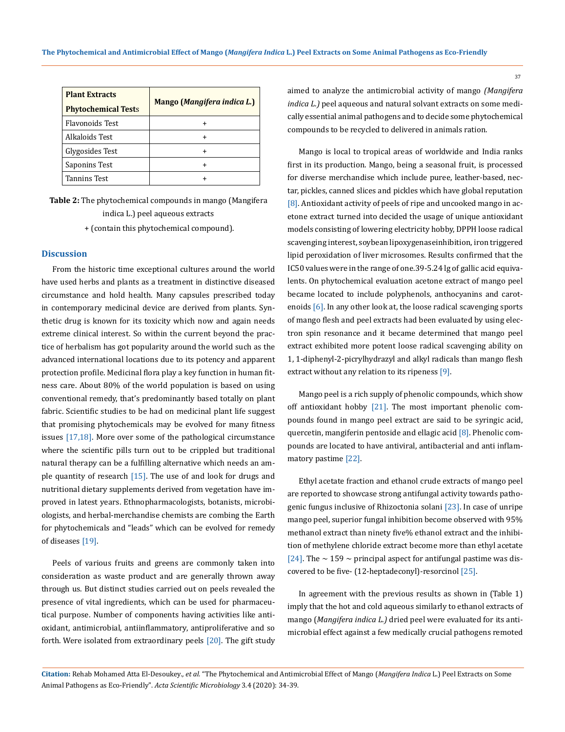| <b>Plant Extracts</b><br><b>Phytochemical Tests</b> | Mango (Mangifera indica L.) |  |  |  |
|-----------------------------------------------------|-----------------------------|--|--|--|
| Flavonoids Test                                     |                             |  |  |  |
| Alkaloids Test                                      |                             |  |  |  |
| Glygosides Test                                     | +                           |  |  |  |
| Saponins Test                                       | +                           |  |  |  |
| <b>Tannins Test</b>                                 |                             |  |  |  |

**Table 2:** The phytochemical compounds in mango (Mangifera indica L.) peel aqueous extracts

+ (contain this phytochemical compound).

# **Discussion**

From the historic time exceptional cultures around the world have used herbs and plants as a treatment in distinctive diseased circumstance and hold health. Many capsules prescribed today in contemporary medicinal device are derived from plants. Synthetic drug is known for its toxicity which now and again needs extreme clinical interest. So within the current beyond the practice of herbalism has got popularity around the world such as the advanced international locations due to its potency and apparent protection profile. Medicinal flora play a key function in human fitness care. About 80% of the world population is based on using conventional remedy, that's predominantly based totally on plant fabric. Scientific studies to be had on medicinal plant life suggest that promising phytochemicals may be evolved for many fitness issues [17,18]. More over some of the pathological circumstance where the scientific pills turn out to be crippled but traditional natural therapy can be a fulfilling alternative which needs an ample quantity of research [15]. The use of and look for drugs and nutritional dietary supplements derived from vegetation have improved in latest years. Ethnopharmacologists, botanists, microbiologists, and herbal-merchandise chemists are combing the Earth for phytochemicals and "leads" which can be evolved for remedy of diseases [19].

Peels of various fruits and greens are commonly taken into consideration as waste product and are generally thrown away through us. But distinct studies carried out on peels revealed the presence of vital ingredients, which can be used for pharmaceutical purpose. Number of components having activities like antioxidant, antimicrobial, antiinflammatory, antiproliferative and so forth. Were isolated from extraordinary peels [20]. The gift study

aimed to analyze the antimicrobial activity of mango *(Mangifera indica L.)* peel aqueous and natural solvant extracts on some medically essential animal pathogens and to decide some phytochemical compounds to be recycled to delivered in animals ration.

Mango is local to tropical areas of worldwide and India ranks first in its production. Mango, being a seasonal fruit, is processed for diverse merchandise which include puree, leather-based, nectar, pickles, canned slices and pickles which have global reputation [8]. Antioxidant activity of peels of ripe and uncooked mango in acetone extract turned into decided the usage of unique antioxidant models consisting of lowering electricity hobby, DPPH loose radical scavenging interest, soybean lipoxygenaseinhibition, iron triggered lipid peroxidation of liver microsomes. Results confirmed that the IC50 values were in the range of one.39-5.24 lg of gallic acid equivalents. On phytochemical evaluation acetone extract of mango peel became located to include polyphenols, anthocyanins and carotenoids [6]. In any other look at, the loose radical scavenging sports of mango flesh and peel extracts had been evaluated by using electron spin resonance and it became determined that mango peel extract exhibited more potent loose radical scavenging ability on 1, 1-diphenyl-2-picrylhydrazyl and alkyl radicals than mango flesh extract without any relation to its ripeness [9].

Mango peel is a rich supply of phenolic compounds, which show off antioxidant hobby [21]. The most important phenolic compounds found in mango peel extract are said to be syringic acid, quercetin, mangiferin pentoside and ellagic acid [8]. Phenolic compounds are located to have antiviral, antibacterial and anti inflammatory pastime [22].

Ethyl acetate fraction and ethanol crude extracts of mango peel are reported to showcase strong antifungal activity towards pathogenic fungus inclusive of Rhizoctonia solani [23]. In case of unripe mango peel, superior fungal inhibition become observed with 95% methanol extract than ninety five% ethanol extract and the inhibition of methylene chloride extract become more than ethyl acetate [24]. The  $\sim$  159  $\sim$  principal aspect for antifungal pastime was discovered to be five- (12-heptadeconyl)-resorcinol [25].

In agreement with the previous results as shown in (Table 1) imply that the hot and cold aqueous similarly to ethanol extracts of mango (*Mangifera indica L.)* dried peel were evaluated for its antimicrobial effect against a few medically crucial pathogens remoted

37

**Citation:** Rehab Mohamed Atta El-Desoukey*., et al.* "The Phytochemical and Antimicrobial Effect of Mango (*Mangifera Indica* L.) Peel Extracts on Some Animal Pathogens as Eco-Friendly". *Acta Scientific Microbiology* 3.4 (2020): 34-39.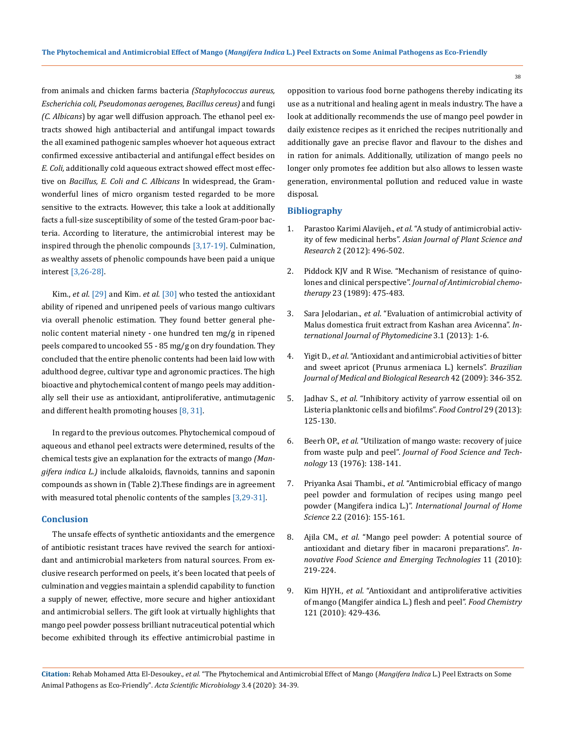from animals and chicken farms bacteria *(Staphylococcus aureus, Escherichia coli, Pseudomonas aerogenes, Bacillus cereus)* and fungi *(C. Albicans*) by agar well diffusion approach. The ethanol peel extracts showed high antibacterial and antifungal impact towards the all examined pathogenic samples whoever hot aqueous extract confirmed excessive antibacterial and antifungal effect besides on *E. Coli,* additionally cold aqueous extract showed effect most effective on *Bacillus, E. Coli and C. Albicans* In widespread, the Gramwonderful lines of micro organism tested regarded to be more sensitive to the extracts. However, this take a look at additionally facts a full-size susceptibility of some of the tested Gram-poor bacteria. According to literature, the antimicrobial interest may be inspired through the phenolic compounds [3,17-19]. Culmination, as wealthy assets of phenolic compounds have been paid a unique interest [3,26-28].

Kim., *et al*. [29] and Kim. *et al.* [30] who tested the antioxidant ability of ripened and unripened peels of various mango cultivars via overall phenolic estimation. They found better general phenolic content material ninety - one hundred ten mg/g in ripened peels compared to uncooked 55 - 85 mg/g on dry foundation. They concluded that the entire phenolic contents had been laid low with adulthood degree, cultivar type and agronomic practices. The high bioactive and phytochemical content of mango peels may additionally sell their use as antioxidant, antiproliferative, antimutagenic and different health promoting houses [8, 31].

In regard to the previous outcomes. Phytochemical compoud of aqueous and ethanol peel extracts were determined, results of the chemical tests give an explanation for the extracts of mango *(Mangifera indica L.)* include alkaloids, flavnoids, tannins and saponin compounds as shown in (Table 2).These findings are in agreement with measured total phenolic contents of the samples [3,29-31].

#### **Conclusion**

The unsafe effects of synthetic antioxidants and the emergence of antibiotic resistant traces have revived the search for antioxidant and antimicrobial marketers from natural sources. From exclusive research performed on peels, it's been located that peels of culmination and veggies maintain a splendid capability to function a supply of newer, effective, more secure and higher antioxidant and antimicrobial sellers. The gift look at virtually highlights that mango peel powder possess brilliant nutraceutical potential which become exhibited through its effective antimicrobial pastime in opposition to various food borne pathogens thereby indicating its use as a nutritional and healing agent in meals industry. The have a look at additionally recommends the use of mango peel powder in daily existence recipes as it enriched the recipes nutritionally and additionally gave an precise flavor and flavour to the dishes and in ration for animals. Additionally, utilization of mango peels no longer only promotes fee addition but also allows to lessen waste generation, environmental pollution and reduced value in waste disposal.

### **Bibliography**

- 1. Parastoo Karimi Alavijeh., *et al*[. "A study of antimicrobial activ](http://www.imedpub.com/articles/a-study-of-antimicrobial-activity-of-few-medicinal-herbs.pdf)ity of few medicinal herbs". *[Asian Journal of Plant Science and](http://www.imedpub.com/articles/a-study-of-antimicrobial-activity-of-few-medicinal-herbs.pdf)  Research* [2 \(2012\): 496-502.](http://www.imedpub.com/articles/a-study-of-antimicrobial-activity-of-few-medicinal-herbs.pdf)
- 2. [Piddock KJV and R Wise. "Mechanism of resistance of quino](https://academic.oup.com/jac/article/23/4/475/763598)lones and clinical perspective". *[Journal of Antimicrobial chemo](https://academic.oup.com/jac/article/23/4/475/763598)therapy* [23 \(1989\): 475-483.](https://academic.oup.com/jac/article/23/4/475/763598)
- 3. Sara Jelodarian., *et al*[. "Evaluation of antimicrobial activity of](https://www.ncbi.nlm.nih.gov/pmc/articles/PMC4075692/)  [Malus domestica fruit extract from Kashan area Avicenna".](https://www.ncbi.nlm.nih.gov/pmc/articles/PMC4075692/) *In[ternational Journal of Phytomedicine](https://www.ncbi.nlm.nih.gov/pmc/articles/PMC4075692/)* 3.1 (2013): 1-6.
- 4. Yigit D., *et al*[. "Antioxidant and antimicrobial activities of bitter](https://www.ncbi.nlm.nih.gov/pubmed/19330262)  [and sweet apricot \(Prunus armeniaca L.\) kernels".](https://www.ncbi.nlm.nih.gov/pubmed/19330262) *Brazilian [Journal of Medical and Biological Research](https://www.ncbi.nlm.nih.gov/pubmed/19330262)* 42 (2009): 346-352.
- 5. Jadhav S., *et al*[. "Inhibitory activity of yarrow essential oil on](https://www.sciencedirect.com/science/article/abs/pii/S0956713512003064)  [Listeria planktonic cells and biofilms".](https://www.sciencedirect.com/science/article/abs/pii/S0956713512003064) *Food Control* 29 (2013): [125-130.](https://www.sciencedirect.com/science/article/abs/pii/S0956713512003064)
- 6. Beerh OP., *et al*[. "Utilization of mango waste: recovery of juice](http://agris.fao.org/agris-search/search.do?recordID=US201302503211)  from waste pulp and peel". *[Journal of Food Science and Tech](http://agris.fao.org/agris-search/search.do?recordID=US201302503211)nology* [13 \(1976\): 138-141.](http://agris.fao.org/agris-search/search.do?recordID=US201302503211)
- 7. Priyanka Asai Thambi., *et al*[. "Antimicrobial efficacy of mango](https://www.semanticscholar.org/paper/Antimicrobial-efficacy-of-mango-peel-powder-and-of-Thambi-John/e0f444c7b20032fa39179d38ef5ad40397ecfb5a)  [peel powder and formulation of recipes using mango peel](https://www.semanticscholar.org/paper/Antimicrobial-efficacy-of-mango-peel-powder-and-of-Thambi-John/e0f444c7b20032fa39179d38ef5ad40397ecfb5a)  powder (Mangifera indica L.)". *[International Journal of Home](https://www.semanticscholar.org/paper/Antimicrobial-efficacy-of-mango-peel-powder-and-of-Thambi-John/e0f444c7b20032fa39179d38ef5ad40397ecfb5a)  Science* [2.2 \(2016\): 155-161.](https://www.semanticscholar.org/paper/Antimicrobial-efficacy-of-mango-peel-powder-and-of-Thambi-John/e0f444c7b20032fa39179d38ef5ad40397ecfb5a)
- 8. Ajila CM., *et al*[. "Mango peel powder: A potential source of](https://www.sciencedirect.com/science/article/pii/S1466856409001192)  [antioxidant and dietary fiber in macaroni preparations".](https://www.sciencedirect.com/science/article/pii/S1466856409001192) *In[novative Food Science and Emerging Technologies](https://www.sciencedirect.com/science/article/pii/S1466856409001192)* 11 (2010): [219-224.](https://www.sciencedirect.com/science/article/pii/S1466856409001192)
- 9. Kim HJYH., *et al*[. "Antioxidant and antiproliferative activities](http://agris.fao.org/agris-search/search.do?recordID=US201301807795)  [of mango \(Mangifer aindica L.\) flesh and peel".](http://agris.fao.org/agris-search/search.do?recordID=US201301807795) *Food Chemistry* [121 \(2010\): 429-436.](http://agris.fao.org/agris-search/search.do?recordID=US201301807795)

**Citation:** Rehab Mohamed Atta El-Desoukey*., et al.* "The Phytochemical and Antimicrobial Effect of Mango (*Mangifera Indica* L.) Peel Extracts on Some Animal Pathogens as Eco-Friendly". *Acta Scientific Microbiology* 3.4 (2020): 34-39.

38